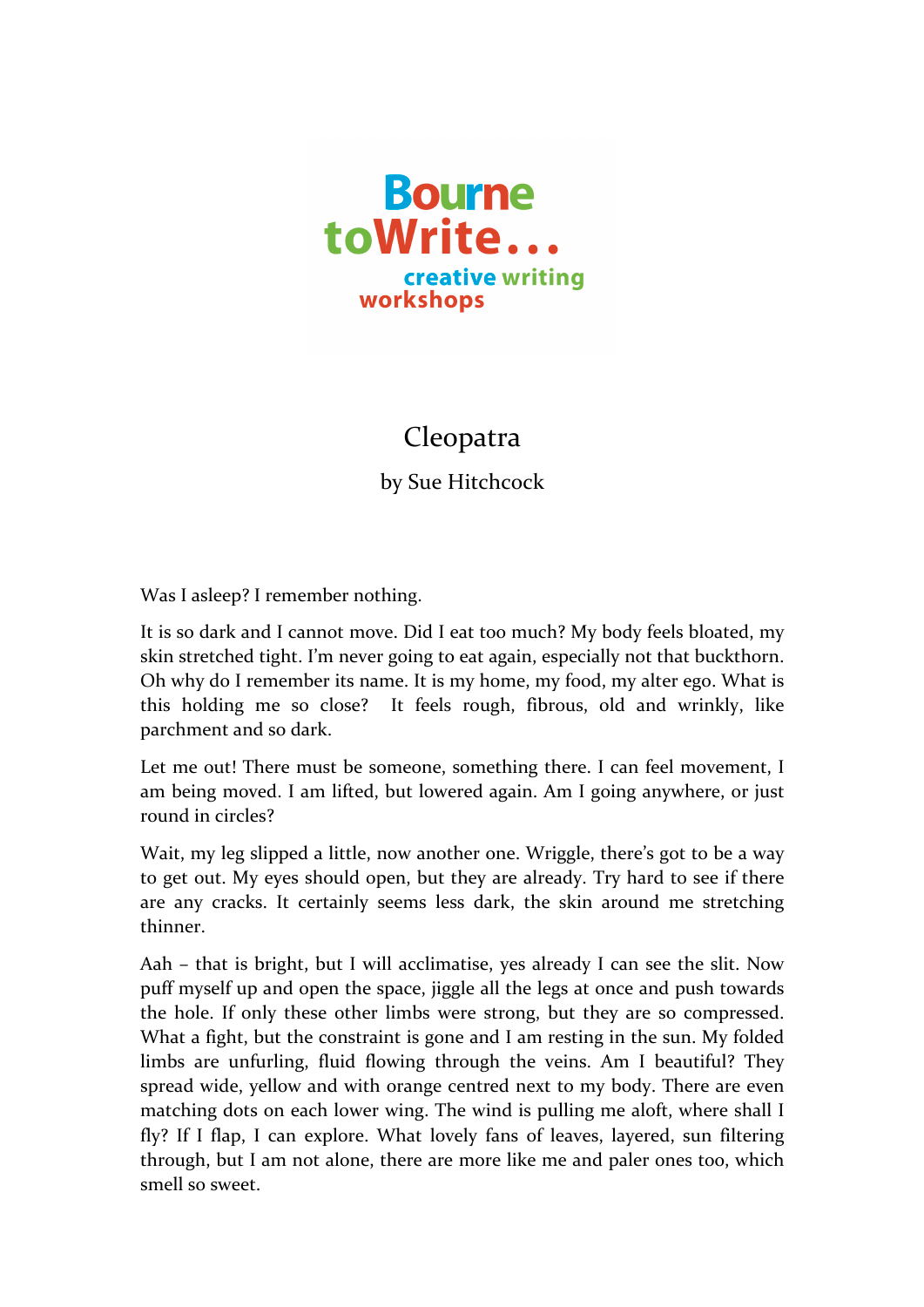

## Cleopatra

by Sue Hitchcock

Was I asleep? I remember nothing.

It is so dark and I cannot move. Did I eat too much? My body feels bloated, my skin stretched tight. I'm never going to eat again, especially not that buckthorn. Oh why do I remember its name. It is my home, my food, my alter ego. What is this holding me so close? It feels rough, fibrous, old and wrinkly, like parchment and so dark.

Let me out! There must be someone, something there. I can feel movement, I am being moved. I am lifted, but lowered again. Am I going anywhere, or just round in circles?

Wait, my leg slipped a little, now another one. Wriggle, there's got to be a way to get out. My eyes should open, but they are already. Try hard to see if there are any cracks. It certainly seems less dark, the skin around me stretching thinner.

Aah – that is bright, but I will acclimatise, yes already I can see the slit. Now puff myself up and open the space, jiggle all the legs at once and push towards the hole. If only these other limbs were strong, but they are so compressed. What a fight, but the constraint is gone and I am resting in the sun. My folded limbs are unfurling, fluid flowing through the veins. Am I beautiful? They spread wide, yellow and with orange centred next to my body. There are even matching dots on each lower wing. The wind is pulling me aloft, where shall I fly? If I flap, I can explore. What lovely fans of leaves, layered, sun filtering through, but I am not alone, there are more like me and paler ones too, which smell so sweet.